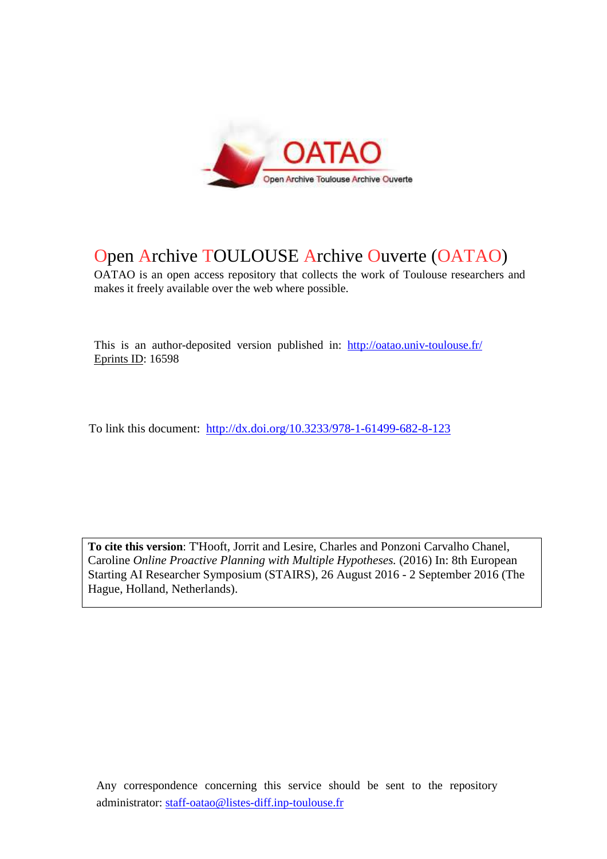

## Open Archive TOULOUSE Archive Ouverte (OATAO)

OATAO is an open access repository that collects the work of Toulouse researchers and makes it freely available over the web where possible.

This is an author-deposited version published in: http://oatao.univ-toulouse.fr/ Eprints ID: 16598

To link this document: http://dx.doi.org/10.3233/978-1-61499-682-8-123

**To cite this version**: T'Hooft, Jorrit and Lesire, Charles and Ponzoni Carvalho Chanel, Caroline *Online Proactive Planning with Multiple Hypotheses.* (2016) In: 8th European Starting AI Researcher Symposium (STAIRS), 26 August 2016 - 2 September 2016 (The Hague, Holland, Netherlands).

Any correspondence concerning this service should be sent to the repository administrator: staff-oatao@listes-diff.inp-toulouse.fr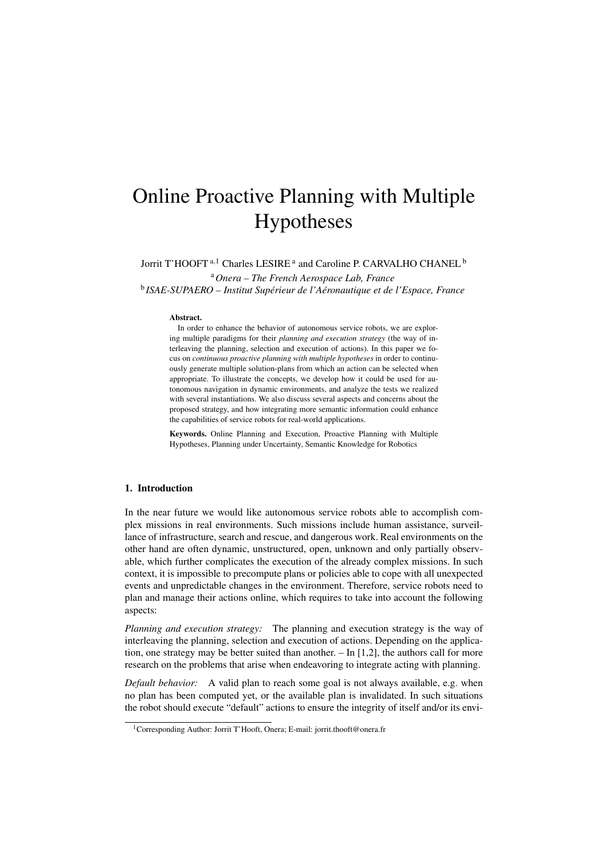# Online Proactive Planning with Multiple Hypotheses

Jorrit T'HOOFT<sup>a, 1</sup> Charles LESIRE<sup>a</sup> and Caroline P. CARVALHO CHANEL<sup>b</sup> <sup>a</sup>*Onera – The French Aerospace Lab, France*

<sup>b</sup> ISAE-SUPAERO – Institut Supérieur de l'Aéronautique et de l'Espace, France

#### Abstract.

In order to enhance the behavior of autonomous service robots, we are exploring multiple paradigms for their *planning and execution strategy* (the way of interleaving the planning, selection and execution of actions). In this paper we focus on *continuous proactive planning with multiple hypotheses* in order to continuously generate multiple solution-plans from which an action can be selected when appropriate. To illustrate the concepts, we develop how it could be used for autonomous navigation in dynamic environments, and analyze the tests we realized with several instantiations. We also discuss several aspects and concerns about the proposed strategy, and how integrating more semantic information could enhance the capabilities of service robots for real-world applications.

Keywords. Online Planning and Execution, Proactive Planning with Multiple Hypotheses, Planning under Uncertainty, Semantic Knowledge for Robotics

## 1. Introduction

In the near future we would like autonomous service robots able to accomplish complex missions in real environments. Such missions include human assistance, surveillance of infrastructure, search and rescue, and dangerous work. Real environments on the other hand are often dynamic, unstructured, open, unknown and only partially observable, which further complicates the execution of the already complex missions. In such context, it is impossible to precompute plans or policies able to cope with all unexpected events and unpredictable changes in the environment. Therefore, service robots need to plan and manage their actions online, which requires to take into account the following aspects:

*Planning and execution strategy:* The planning and execution strategy is the way of interleaving the planning, selection and execution of actions. Depending on the application, one strategy may be better suited than another. – In [1,2], the authors call for more research on the problems that arise when endeavoring to integrate acting with planning.

*Default behavior:* A valid plan to reach some goal is not always available, e.g. when no plan has been computed yet, or the available plan is invalidated. In such situations the robot should execute "default" actions to ensure the integrity of itself and/or its envi-

<sup>&</sup>lt;sup>1</sup>Corresponding Author: Jorrit T'Hooft, Onera; E-mail: jorrit.thooft@onera.fr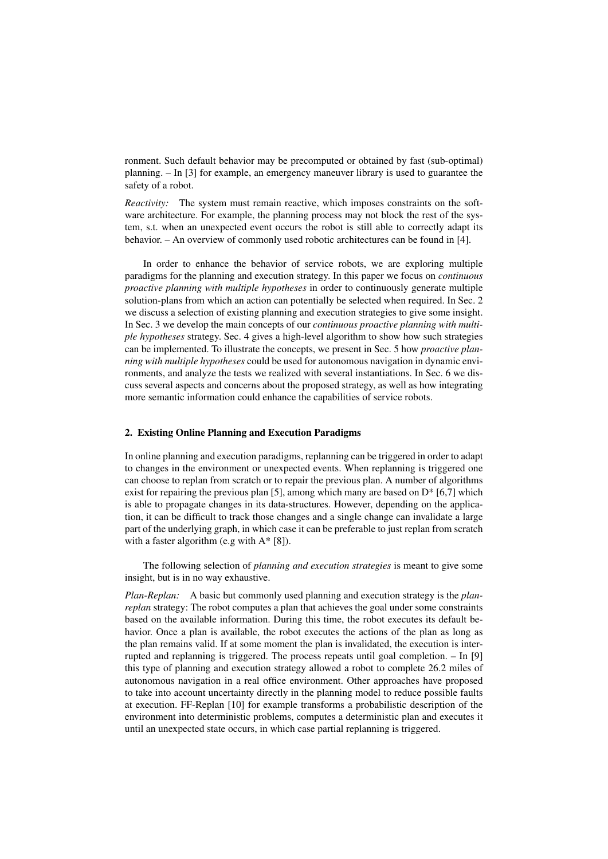ronment. Such default behavior may be precomputed or obtained by fast (sub-optimal) planning. – In [3] for example, an emergency maneuver library is used to guarantee the safety of a robot.

*Reactivity:* The system must remain reactive, which imposes constraints on the software architecture. For example, the planning process may not block the rest of the system, s.t. when an unexpected event occurs the robot is still able to correctly adapt its behavior. – An overview of commonly used robotic architectures can be found in [4].

In order to enhance the behavior of service robots, we are exploring multiple paradigms for the planning and execution strategy. In this paper we focus on *continuous proactive planning with multiple hypotheses* in order to continuously generate multiple solution-plans from which an action can potentially be selected when required. In Sec. 2 we discuss a selection of existing planning and execution strategies to give some insight. In Sec. 3 we develop the main concepts of our *continuous proactive planning with multiple hypotheses* strategy. Sec. 4 gives a high-level algorithm to show how such strategies can be implemented. To illustrate the concepts, we present in Sec. 5 how *proactive planning with multiple hypotheses* could be used for autonomous navigation in dynamic environments, and analyze the tests we realized with several instantiations. In Sec. 6 we discuss several aspects and concerns about the proposed strategy, as well as how integrating more semantic information could enhance the capabilities of service robots.

## 2. Existing Online Planning and Execution Paradigms

In online planning and execution paradigms, replanning can be triggered in order to adapt to changes in the environment or unexpected events. When replanning is triggered one can choose to replan from scratch or to repair the previous plan. A number of algorithms exist for repairing the previous plan [5], among which many are based on  $D^*$  [6,7] which is able to propagate changes in its data-structures. However, depending on the application, it can be difficult to track those changes and a single change can invalidate a large part of the underlying graph, in which case it can be preferable to just replan from scratch with a faster algorithm (e.g with  $A^*$  [8]).

The following selection of *planning and execution strategies* is meant to give some insight, but is in no way exhaustive.

*Plan-Replan:* A basic but commonly used planning and execution strategy is the *planreplan* strategy: The robot computes a plan that achieves the goal under some constraints based on the available information. During this time, the robot executes its default behavior. Once a plan is available, the robot executes the actions of the plan as long as the plan remains valid. If at some moment the plan is invalidated, the execution is interrupted and replanning is triggered. The process repeats until goal completion. – In [9] this type of planning and execution strategy allowed a robot to complete 26.2 miles of autonomous navigation in a real office environment. Other approaches have proposed to take into account uncertainty directly in the planning model to reduce possible faults at execution. FF-Replan [10] for example transforms a probabilistic description of the environment into deterministic problems, computes a deterministic plan and executes it until an unexpected state occurs, in which case partial replanning is triggered.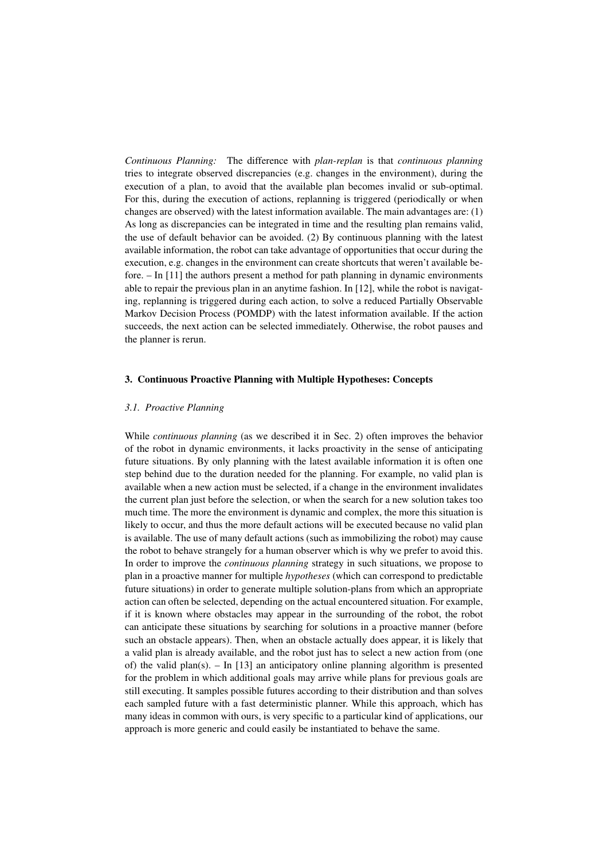*Continuous Planning:* The difference with *plan-replan* is that *continuous planning* tries to integrate observed discrepancies (e.g. changes in the environment), during the execution of a plan, to avoid that the available plan becomes invalid or sub-optimal. For this, during the execution of actions, replanning is triggered (periodically or when changes are observed) with the latest information available. The main advantages are: (1) As long as discrepancies can be integrated in time and the resulting plan remains valid, the use of default behavior can be avoided. (2) By continuous planning with the latest available information, the robot can take advantage of opportunities that occur during the execution, e.g. changes in the environment can create shortcuts that weren't available before. – In [11] the authors present a method for path planning in dynamic environments able to repair the previous plan in an anytime fashion. In [12], while the robot is navigating, replanning is triggered during each action, to solve a reduced Partially Observable Markov Decision Process (POMDP) with the latest information available. If the action succeeds, the next action can be selected immediately. Otherwise, the robot pauses and the planner is rerun.

#### 3. Continuous Proactive Planning with Multiple Hypotheses: Concepts

#### *3.1. Proactive Planning*

While *continuous planning* (as we described it in Sec. 2) often improves the behavior of the robot in dynamic environments, it lacks proactivity in the sense of anticipating future situations. By only planning with the latest available information it is often one step behind due to the duration needed for the planning. For example, no valid plan is available when a new action must be selected, if a change in the environment invalidates the current plan just before the selection, or when the search for a new solution takes too much time. The more the environment is dynamic and complex, the more this situation is likely to occur, and thus the more default actions will be executed because no valid plan is available. The use of many default actions (such as immobilizing the robot) may cause the robot to behave strangely for a human observer which is why we prefer to avoid this. In order to improve the *continuous planning* strategy in such situations, we propose to plan in a proactive manner for multiple *hypotheses* (which can correspond to predictable future situations) in order to generate multiple solution-plans from which an appropriate action can often be selected, depending on the actual encountered situation. For example, if it is known where obstacles may appear in the surrounding of the robot, the robot can anticipate these situations by searching for solutions in a proactive manner (before such an obstacle appears). Then, when an obstacle actually does appear, it is likely that a valid plan is already available, and the robot just has to select a new action from (one of) the valid plan(s). – In [13] an anticipatory online planning algorithm is presented for the problem in which additional goals may arrive while plans for previous goals are still executing. It samples possible futures according to their distribution and than solves each sampled future with a fast deterministic planner. While this approach, which has many ideas in common with ours, is very specific to a particular kind of applications, our approach is more generic and could easily be instantiated to behave the same.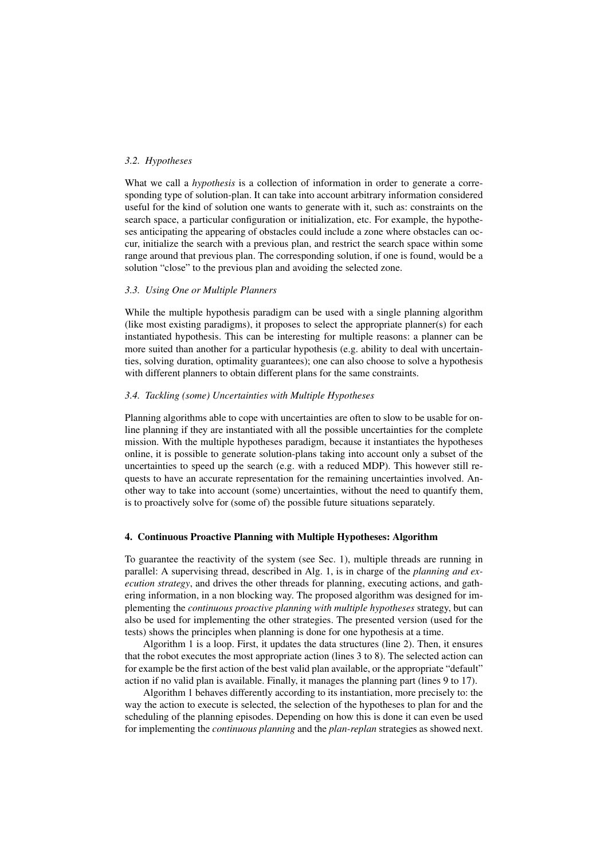## *3.2. Hypotheses*

What we call a *hypothesis* is a collection of information in order to generate a corresponding type of solution-plan. It can take into account arbitrary information considered useful for the kind of solution one wants to generate with it, such as: constraints on the search space, a particular configuration or initialization, etc. For example, the hypotheses anticipating the appearing of obstacles could include a zone where obstacles can occur, initialize the search with a previous plan, and restrict the search space within some range around that previous plan. The corresponding solution, if one is found, would be a solution "close" to the previous plan and avoiding the selected zone.

#### *3.3. Using One or Multiple Planners*

While the multiple hypothesis paradigm can be used with a single planning algorithm (like most existing paradigms), it proposes to select the appropriate planner(s) for each instantiated hypothesis. This can be interesting for multiple reasons: a planner can be more suited than another for a particular hypothesis (e.g. ability to deal with uncertainties, solving duration, optimality guarantees); one can also choose to solve a hypothesis with different planners to obtain different plans for the same constraints.

## *3.4. Tackling (some) Uncertainties with Multiple Hypotheses*

Planning algorithms able to cope with uncertainties are often to slow to be usable for online planning if they are instantiated with all the possible uncertainties for the complete mission. With the multiple hypotheses paradigm, because it instantiates the hypotheses online, it is possible to generate solution-plans taking into account only a subset of the uncertainties to speed up the search (e.g. with a reduced MDP). This however still requests to have an accurate representation for the remaining uncertainties involved. Another way to take into account (some) uncertainties, without the need to quantify them, is to proactively solve for (some of) the possible future situations separately.

#### 4. Continuous Proactive Planning with Multiple Hypotheses: Algorithm

To guarantee the reactivity of the system (see Sec. 1), multiple threads are running in parallel: A supervising thread, described in Alg. 1, is in charge of the *planning and execution strategy*, and drives the other threads for planning, executing actions, and gathering information, in a non blocking way. The proposed algorithm was designed for implementing the *continuous proactive planning with multiple hypotheses* strategy, but can also be used for implementing the other strategies. The presented version (used for the tests) shows the principles when planning is done for one hypothesis at a time.

Algorithm 1 is a loop. First, it updates the data structures (line 2). Then, it ensures that the robot executes the most appropriate action (lines 3 to 8). The selected action can for example be the first action of the best valid plan available, or the appropriate "default" action if no valid plan is available. Finally, it manages the planning part (lines 9 to 17).

Algorithm 1 behaves differently according to its instantiation, more precisely to: the way the action to execute is selected, the selection of the hypotheses to plan for and the scheduling of the planning episodes. Depending on how this is done it can even be used for implementing the *continuous planning* and the *plan-replan* strategies as showed next.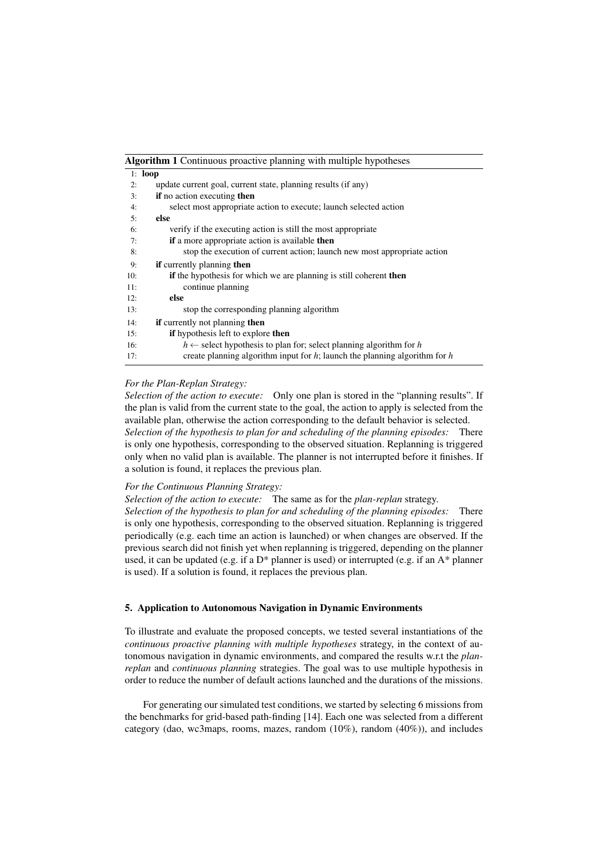Algorithm 1 Continuous proactive planning with multiple hypotheses

| 1: $loop$ |                                                                                 |
|-----------|---------------------------------------------------------------------------------|
| 2:        | update current goal, current state, planning results (if any)                   |
| 3:        | if no action executing then                                                     |
| 4:        | select most appropriate action to execute; launch selected action               |
| 5:        | else                                                                            |
| 6:        | verify if the executing action is still the most appropriate                    |
| 7:        | <b>if</b> a more appropriate action is available <b>then</b>                    |
| 8:        | stop the execution of current action; launch new most appropriate action        |
| 9:        | <b>if</b> currently planning <b>then</b>                                        |
| 10:       | if the hypothesis for which we are planning is still coherent then              |
| 11:       | continue planning                                                               |
| 12:       | else                                                                            |
| 13:       | stop the corresponding planning algorithm                                       |
| 14:       | <b>if</b> currently not planning <b>then</b>                                    |
| 15:       | <b>if</b> hypothesis left to explore <b>then</b>                                |
| 16:       | $h \leftarrow$ select hypothesis to plan for; select planning algorithm for h   |
| 17:       | create planning algorithm input for $h$ ; launch the planning algorithm for $h$ |

#### *For the Plan-Replan Strategy:*

*Selection of the action to execute:* Only one plan is stored in the "planning results". If the plan is valid from the current state to the goal, the action to apply is selected from the available plan, otherwise the action corresponding to the default behavior is selected. *Selection of the hypothesis to plan for and scheduling of the planning episodes:* There is only one hypothesis, corresponding to the observed situation. Replanning is triggered only when no valid plan is available. The planner is not interrupted before it finishes. If a solution is found, it replaces the previous plan.

## *For the Continuous Planning Strategy:*

*Selection of the action to execute:* The same as for the *plan-replan* strategy. *Selection of the hypothesis to plan for and scheduling of the planning episodes:* There is only one hypothesis, corresponding to the observed situation. Replanning is triggered

periodically (e.g. each time an action is launched) or when changes are observed. If the previous search did not finish yet when replanning is triggered, depending on the planner used, it can be updated (e.g. if a D\* planner is used) or interrupted (e.g. if an A\* planner is used). If a solution is found, it replaces the previous plan.

## 5. Application to Autonomous Navigation in Dynamic Environments

To illustrate and evaluate the proposed concepts, we tested several instantiations of the *continuous proactive planning with multiple hypotheses* strategy, in the context of autonomous navigation in dynamic environments, and compared the results w.r.t the *planreplan* and *continuous planning* strategies. The goal was to use multiple hypothesis in order to reduce the number of default actions launched and the durations of the missions.

For generating our simulated test conditions, we started by selecting 6 missions from the benchmarks for grid-based path-finding [14]. Each one was selected from a different category (dao, wc3maps, rooms, mazes, random (10%), random (40%)), and includes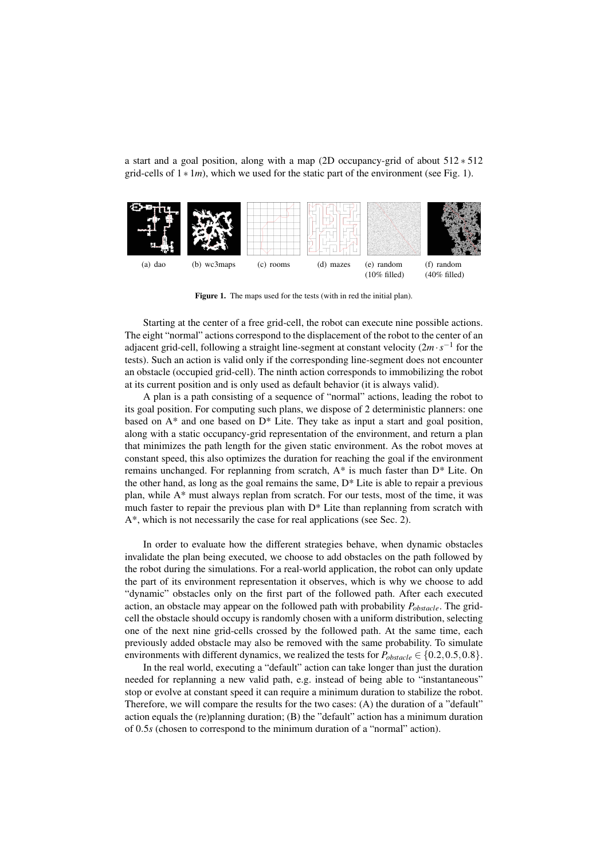a start and a goal position, along with a map (2D occupancy-grid of about 512 ∗ 512 grid-cells of  $1 * 1m$ ), which we used for the static part of the environment (see Fig. 1).



Figure 1. The maps used for the tests (with in red the initial plan).

Starting at the center of a free grid-cell, the robot can execute nine possible actions. The eight "normal" actions correspond to the displacement of the robot to the center of an adjacent grid-cell, following a straight line-segment at constant velocity  $(2m \cdot s^{-1})$  for the tests). Such an action is valid only if the corresponding line-segment does not encounter an obstacle (occupied grid-cell). The ninth action corresponds to immobilizing the robot at its current position and is only used as default behavior (it is always valid).

A plan is a path consisting of a sequence of "normal" actions, leading the robot to its goal position. For computing such plans, we dispose of 2 deterministic planners: one based on  $A^*$  and one based on  $D^*$  Lite. They take as input a start and goal position, along with a static occupancy-grid representation of the environment, and return a plan that minimizes the path length for the given static environment. As the robot moves at constant speed, this also optimizes the duration for reaching the goal if the environment remains unchanged. For replanning from scratch, A\* is much faster than D\* Lite. On the other hand, as long as the goal remains the same,  $D^*$  Lite is able to repair a previous plan, while A\* must always replan from scratch. For our tests, most of the time, it was much faster to repair the previous plan with D\* Lite than replanning from scratch with A\*, which is not necessarily the case for real applications (see Sec. 2).

In order to evaluate how the different strategies behave, when dynamic obstacles invalidate the plan being executed, we choose to add obstacles on the path followed by the robot during the simulations. For a real-world application, the robot can only update the part of its environment representation it observes, which is why we choose to add "dynamic" obstacles only on the first part of the followed path. After each executed action, an obstacle may appear on the followed path with probability *Pobstacle*. The gridcell the obstacle should occupy is randomly chosen with a uniform distribution, selecting one of the next nine grid-cells crossed by the followed path. At the same time, each previously added obstacle may also be removed with the same probability. To simulate environments with different dynamics, we realized the tests for  $P_{obstacle} \in \{0.2, 0.5, 0.8\}$ .

In the real world, executing a "default" action can take longer than just the duration needed for replanning a new valid path, e.g. instead of being able to "instantaneous" stop or evolve at constant speed it can require a minimum duration to stabilize the robot. Therefore, we will compare the results for the two cases: (A) the duration of a "default" action equals the (re)planning duration; (B) the "default" action has a minimum duration of 0.5*s* (chosen to correspond to the minimum duration of a "normal" action).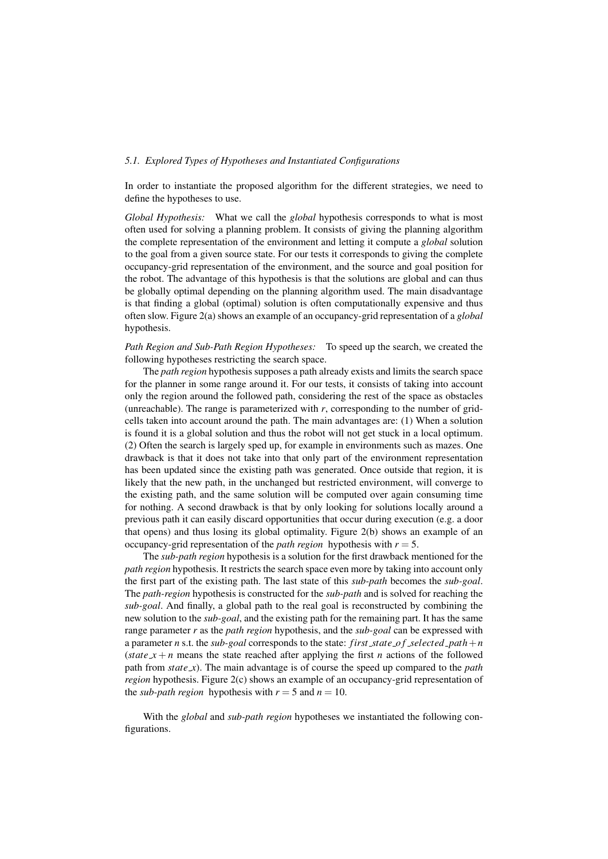#### *5.1. Explored Types of Hypotheses and Instantiated Configurations*

In order to instantiate the proposed algorithm for the different strategies, we need to define the hypotheses to use.

*Global Hypothesis:* What we call the *global* hypothesis corresponds to what is most often used for solving a planning problem. It consists of giving the planning algorithm the complete representation of the environment and letting it compute a *global* solution to the goal from a given source state. For our tests it corresponds to giving the complete occupancy-grid representation of the environment, and the source and goal position for the robot. The advantage of this hypothesis is that the solutions are global and can thus be globally optimal depending on the planning algorithm used. The main disadvantage is that finding a global (optimal) solution is often computationally expensive and thus often slow. Figure 2(a) shows an example of an occupancy-grid representation of a *global* hypothesis.

*Path Region and Sub-Path Region Hypotheses:* To speed up the search, we created the following hypotheses restricting the search space.

The *path region* hypothesis supposes a path already exists and limits the search space for the planner in some range around it. For our tests, it consists of taking into account only the region around the followed path, considering the rest of the space as obstacles (unreachable). The range is parameterized with *r*, corresponding to the number of gridcells taken into account around the path. The main advantages are: (1) When a solution is found it is a global solution and thus the robot will not get stuck in a local optimum. (2) Often the search is largely sped up, for example in environments such as mazes. One drawback is that it does not take into that only part of the environment representation has been updated since the existing path was generated. Once outside that region, it is likely that the new path, in the unchanged but restricted environment, will converge to the existing path, and the same solution will be computed over again consuming time for nothing. A second drawback is that by only looking for solutions locally around a previous path it can easily discard opportunities that occur during execution (e.g. a door that opens) and thus losing its global optimality. Figure 2(b) shows an example of an occupancy-grid representation of the *path region* hypothesis with  $r = 5$ .

The *sub-path region* hypothesis is a solution for the first drawback mentioned for the *path region* hypothesis. It restricts the search space even more by taking into account only the first part of the existing path. The last state of this *sub-path* becomes the *sub-goal*. The *path-region* hypothesis is constructed for the *sub-path* and is solved for reaching the *sub-goal*. And finally, a global path to the real goal is reconstructed by combining the new solution to the *sub-goal*, and the existing path for the remaining part. It has the same range parameter *r* as the *path region* hypothesis, and the *sub-goal* can be expressed with a parameter *n* s.t. the *sub-goal* corresponds to the state: *first state o f selected path*+*n* (*state*  $x + n$  means the state reached after applying the first *n* actions of the followed path from *state x*). The main advantage is of course the speed up compared to the *path region* hypothesis. Figure 2(c) shows an example of an occupancy-grid representation of the *sub-path region* hypothesis with  $r = 5$  and  $n = 10$ .

With the *global* and *sub-path region* hypotheses we instantiated the following configurations.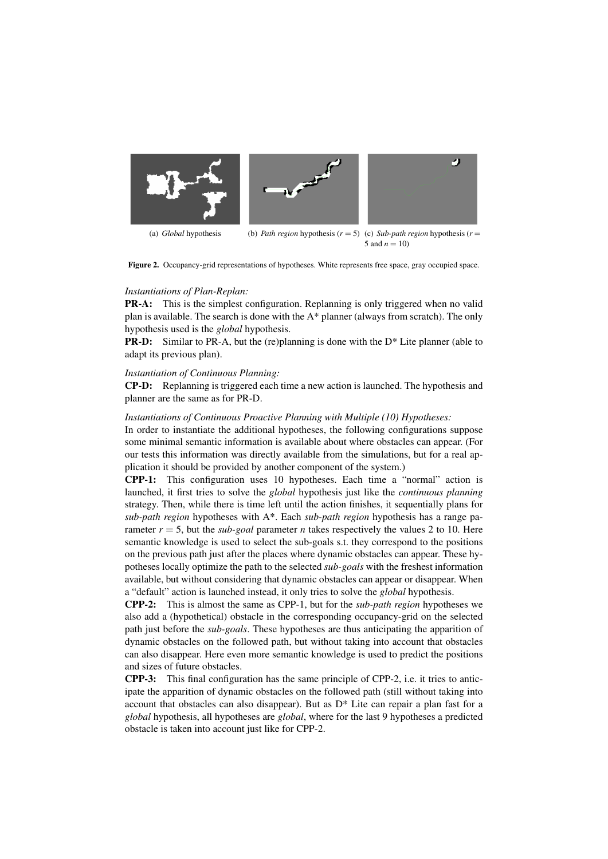

Figure 2. Occupancy-grid representations of hypotheses. White represents free space, gray occupied space.

#### *Instantiations of Plan-Replan:*

PR-A: This is the simplest configuration. Replanning is only triggered when no valid plan is available. The search is done with the  $A^*$  planner (always from scratch). The only hypothesis used is the *global* hypothesis.

**PR-D:** Similar to PR-A, but the (re)planning is done with the  $D^*$  Lite planner (able to adapt its previous plan).

## *Instantiation of Continuous Planning:*

CP-D: Replanning is triggered each time a new action is launched. The hypothesis and planner are the same as for PR-D.

#### *Instantiations of Continuous Proactive Planning with Multiple (10) Hypotheses:*

In order to instantiate the additional hypotheses, the following configurations suppose some minimal semantic information is available about where obstacles can appear. (For our tests this information was directly available from the simulations, but for a real application it should be provided by another component of the system.)

CPP-1: This configuration uses 10 hypotheses. Each time a "normal" action is launched, it first tries to solve the *global* hypothesis just like the *continuous planning* strategy. Then, while there is time left until the action finishes, it sequentially plans for *sub-path region* hypotheses with A\*. Each *sub-path region* hypothesis has a range parameter  $r = 5$ , but the *sub-goal* parameter *n* takes respectively the values 2 to 10. Here semantic knowledge is used to select the sub-goals s.t. they correspond to the positions on the previous path just after the places where dynamic obstacles can appear. These hypotheses locally optimize the path to the selected *sub-goals* with the freshest information available, but without considering that dynamic obstacles can appear or disappear. When a "default" action is launched instead, it only tries to solve the *global* hypothesis.

CPP-2: This is almost the same as CPP-1, but for the *sub-path region* hypotheses we also add a (hypothetical) obstacle in the corresponding occupancy-grid on the selected path just before the *sub-goals*. These hypotheses are thus anticipating the apparition of dynamic obstacles on the followed path, but without taking into account that obstacles can also disappear. Here even more semantic knowledge is used to predict the positions and sizes of future obstacles.

CPP-3: This final configuration has the same principle of CPP-2, i.e. it tries to anticipate the apparition of dynamic obstacles on the followed path (still without taking into account that obstacles can also disappear). But as  $D^*$  Lite can repair a plan fast for a *global* hypothesis, all hypotheses are *global*, where for the last 9 hypotheses a predicted obstacle is taken into account just like for CPP-2.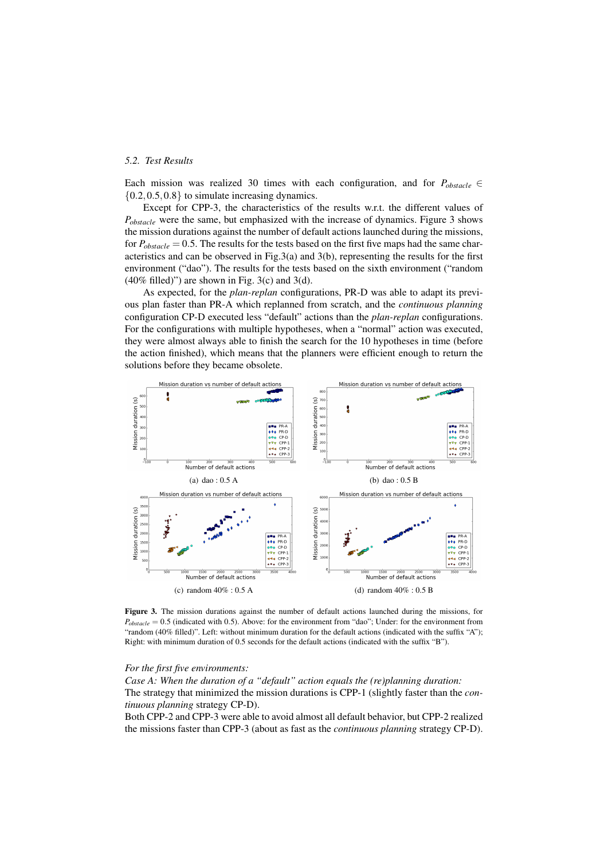## *5.2. Test Results*

Each mission was realized 30 times with each configuration, and for  $P_{obscale} \in$  ${0.2, 0.5, 0.8}$  to simulate increasing dynamics.

Except for CPP-3, the characteristics of the results w.r.t. the different values of *P*<sub>obstacle</sub> were the same, but emphasized with the increase of dynamics. Figure 3 shows the mission durations against the number of default actions launched during the missions, for  $P_{obstack} = 0.5$ . The results for the tests based on the first five maps had the same characteristics and can be observed in Fig.3(a) and 3(b), representing the results for the first environment ("dao"). The results for the tests based on the sixth environment ("random  $(40\%$  filled)") are shown in Fig. 3(c) and 3(d).

As expected, for the *plan-replan* configurations, PR-D was able to adapt its previous plan faster than PR-A which replanned from scratch, and the *continuous planning* configuration CP-D executed less "default" actions than the *plan-replan* configurations. For the configurations with multiple hypotheses, when a "normal" action was executed, they were almost always able to finish the search for the 10 hypotheses in time (before the action finished), which means that the planners were efficient enough to return the solutions before they became obsolete.



Figure 3. The mission durations against the number of default actions launched during the missions, for  $P_{\text{obstable}} = 0.5$  (indicated with 0.5). Above: for the environment from "dao"; Under: for the environment from "random (40% filled)". Left: without minimum duration for the default actions (indicated with the suffix "A"); Right: with minimum duration of 0.5 seconds for the default actions (indicated with the suffix "B").

#### *For the first five environments:*

*Case A: When the duration of a "default" action equals the (re)planning duration:* The strategy that minimized the mission durations is CPP-1 (slightly faster than the *continuous planning* strategy CP-D).

Both CPP-2 and CPP-3 were able to avoid almost all default behavior, but CPP-2 realized the missions faster than CPP-3 (about as fast as the *continuous planning* strategy CP-D).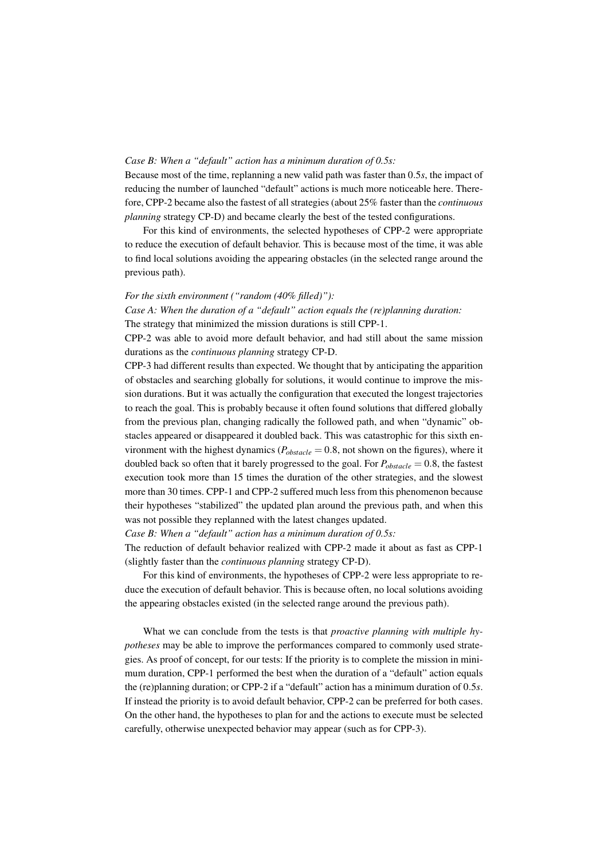## *Case B: When a "default" action has a minimum duration of 0.5s:*

Because most of the time, replanning a new valid path was faster than 0.5*s*, the impact of reducing the number of launched "default" actions is much more noticeable here. Therefore, CPP-2 became also the fastest of all strategies (about 25% faster than the *continuous planning* strategy CP-D) and became clearly the best of the tested configurations.

For this kind of environments, the selected hypotheses of CPP-2 were appropriate to reduce the execution of default behavior. This is because most of the time, it was able to find local solutions avoiding the appearing obstacles (in the selected range around the previous path).

## *For the sixth environment ("random (40% filled)"):*

*Case A: When the duration of a "default" action equals the (re)planning duration:* The strategy that minimized the mission durations is still CPP-1.

CPP-2 was able to avoid more default behavior, and had still about the same mission durations as the *continuous planning* strategy CP-D.

CPP-3 had different results than expected. We thought that by anticipating the apparition of obstacles and searching globally for solutions, it would continue to improve the mission durations. But it was actually the configuration that executed the longest trajectories to reach the goal. This is probably because it often found solutions that differed globally from the previous plan, changing radically the followed path, and when "dynamic" obstacles appeared or disappeared it doubled back. This was catastrophic for this sixth environment with the highest dynamics ( $P_{obstack} = 0.8$ , not shown on the figures), where it doubled back so often that it barely progressed to the goal. For  $P_{obstack} = 0.8$ , the fastest execution took more than 15 times the duration of the other strategies, and the slowest more than 30 times. CPP-1 and CPP-2 suffered much less from this phenomenon because their hypotheses "stabilized" the updated plan around the previous path, and when this was not possible they replanned with the latest changes updated.

*Case B: When a "default" action has a minimum duration of 0.5s:*

The reduction of default behavior realized with CPP-2 made it about as fast as CPP-1 (slightly faster than the *continuous planning* strategy CP-D).

For this kind of environments, the hypotheses of CPP-2 were less appropriate to reduce the execution of default behavior. This is because often, no local solutions avoiding the appearing obstacles existed (in the selected range around the previous path).

What we can conclude from the tests is that *proactive planning with multiple hypotheses* may be able to improve the performances compared to commonly used strategies. As proof of concept, for our tests: If the priority is to complete the mission in minimum duration, CPP-1 performed the best when the duration of a "default" action equals the (re)planning duration; or CPP-2 if a "default" action has a minimum duration of 0.5*s*. If instead the priority is to avoid default behavior, CPP-2 can be preferred for both cases. On the other hand, the hypotheses to plan for and the actions to execute must be selected carefully, otherwise unexpected behavior may appear (such as for CPP-3).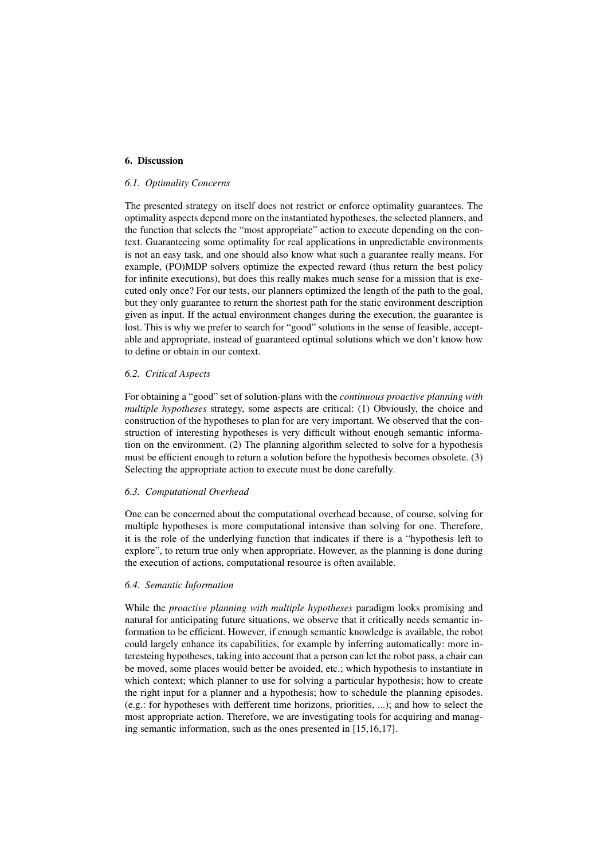## 6. Discussion

## *6.1. Optimality Concerns*

The presented strategy on itself does not restrict or enforce optimality guarantees. The optimality aspects depend more on the instantiated hypotheses, the selected planners, and the function that selects the "most appropriate" action to execute depending on the context. Guaranteeing some optimality for real applications in unpredictable environments is not an easy task, and one should also know what such a guarantee really means. For example, (PO)MDP solvers optimize the expected reward (thus return the best policy for infinite executions), but does this really makes much sense for a mission that is executed only once? For our tests, our planners optimized the length of the path to the goal, but they only guarantee to return the shortest path for the static environment description given as input. If the actual environment changes during the execution, the guarantee is lost. This is why we prefer to search for "good" solutions in the sense of feasible, acceptable and appropriate, instead of guaranteed optimal solutions which we don't know how to define or obtain in our context.

#### *6.2. Critical Aspects*

For obtaining a "good" set of solution-plans with the *continuous proactive planning with multiple hypotheses* strategy, some aspects are critical: (1) Obviously, the choice and construction of the hypotheses to plan for are very important. We observed that the construction of interesting hypotheses is very difficult without enough semantic information on the environment. (2) The planning algorithm selected to solve for a hypothesis must be efficient enough to return a solution before the hypothesis becomes obsolete. (3) Selecting the appropriate action to execute must be done carefully.

#### *6.3. Computational Overhead*

One can be concerned about the computational overhead because, of course, solving for multiple hypotheses is more computational intensive than solving for one. Therefore, it is the role of the underlying function that indicates if there is a "hypothesis left to explore", to return true only when appropriate. However, as the planning is done during the execution of actions, computational resource is often available.

## *6.4. Semantic Information*

While the *proactive planning with multiple hypotheses* paradigm looks promising and natural for anticipating future situations, we observe that it critically needs semantic information to be efficient. However, if enough semantic knowledge is available, the robot could largely enhance its capabilities, for example by inferring automatically: more interesteing hypotheses, taking into account that a person can let the robot pass, a chair can be moved, some places would better be avoided, etc.; which hypothesis to instantiate in which context; which planner to use for solving a particular hypothesis; how to create the right input for a planner and a hypothesis; how to schedule the planning episodes. (e.g.: for hypotheses with defferent time horizons, priorities, ...); and how to select the most appropriate action. Therefore, we are investigating tools for acquiring and managing semantic information, such as the ones presented in [15,16,17].